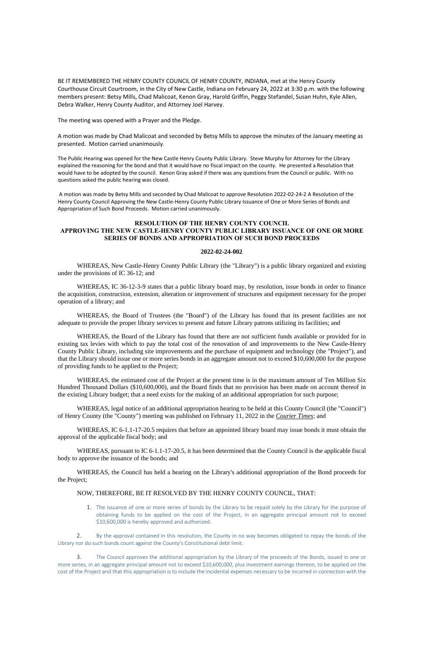BE IT REMEMBERED THE HENRY COUNTY COUNCIL OF HENRY COUNTY, INDIANA, met at the Henry County Courthouse Circuit Courtroom, in the City of New Castle, Indiana on February 24, 2022 at 3:30 p.m. with the following members present: Betsy Mills, Chad Malicoat, Kenon Gray, Harold Griffin, Peggy Stefandel, Susan Huhn, Kyle Allen, Debra Walker, Henry County Auditor, and Attorney Joel Harvey.

The meeting was opened with a Prayer and the Pledge.

A motion was made by Chad Malicoat and seconded by Betsy Mills to approve the minutes of the January meeting as presented. Motion carried unanimously.

The Public Hearing was opened for the New Castle Henry County Public Library. Steve Murphy for Attorney for the Library explained the reasoning for the bond and that it would have no fiscal impact on the county. He presented a Resolution that would have to be adopted by the council. Kenon Gray asked if there was any questions from the Council or public. With no questions asked the public hearing was closed.

A motion was made by Betsy Mills and seconded by Chad Malicoat to approve Resolution 2022-02-24-2 A Resolution of the Henry County Council Approving the New Castle-Henry County Public Library Issuance of One or More Series of Bonds and Appropriation of Such Bond Proceeds. Motion carried unanimously.

# **RESOLUTION OF THE HENRY COUNTY COUNCIL APPROVING THE NEW CASTLE-HENRY COUNTY PUBLIC LIBRARY ISSUANCE OF ONE OR MORE SERIES OF BONDS AND APPROPRIATION OF SUCH BOND PROCEEDS**

#### **2022-02-24-002**

WHEREAS, New Castle-Henry County Public Library (the "Library") is a public library organized and existing under the provisions of IC 36-12; and

WHEREAS, IC 6-1.1-17-20.5 requires that before an appointed library board may issue bonds it must obtain the approval of the applicable fiscal body; and

WHEREAS, pursuant to IC 6-1.1-17-20.5, it has been determined that the County Council is the applicable fiscal body to approve the issuance of the bonds; and

WHEREAS, IC 36-12-3-9 states that a public library board may, by resolution, issue bonds in order to finance the acquisition, construction, extension, alteration or improvement of structures and equipment necessary for the proper operation of a library; and

WHEREAS, the Board of Trustees (the "Board") of the Library has found that its present facilities are not adequate to provide the proper library services to present and future Library patrons utilizing its facilities; and

WHEREAS, the Board of the Library has found that there are not sufficient funds available or provided for in existing tax levies with which to pay the total cost of the renovation of and improvements to the New Castle-Henry County Public Library, including site improvements and the purchase of equipment and technology (the "Project"), and that the Library should issue one or more series bonds in an aggregate amount not to exceed \$10,600,000 for the purpose of providing funds to be applied to the Project;

WHEREAS, the estimated cost of the Project at the present time is in the maximum amount of Ten Million Six Hundred Thousand Dollars (\$10,600,000), and the Board finds that no provision has been made on account thereof in the existing Library budget; that a need exists for the making of an additional appropriation for such purpose;

WHEREAS, legal notice of an additional appropriation hearing to be held at this County Council (the "Council") of Henry County (the "County") meeting was published on February 11, 2022 in the *Courier Times*; and

WHEREAS, the Council has held a hearing on the Library's additional appropriation of the Bond proceeds for the Project;

# NOW, THEREFORE, BE IT RESOLVED BY THE HENRY COUNTY COUNCIL, THAT:

1. The issuance of one or more series of bonds by the Library to be repaid solely by the Library for the purpose of obtaining funds to be applied on the cost of the Project, in an aggregate principal amount not to exceed \$10,600,000 is hereby approved and authorized.

2. By the approval contained in this resolution, the County in no way becomes obligated to repay the bonds of the Library nor do such bonds count against the County's Constitutional debt limit.

3. The Council approves the additional appropriation by the Library of the proceeds of the Bonds, issued in one or more series, in an aggregate principal amount not to exceed \$10,600,000, plus investment earnings thereon, to be applied on the cost of the Project and that this appropriation is to include the incidental expenses necessary to be incurred in connection with the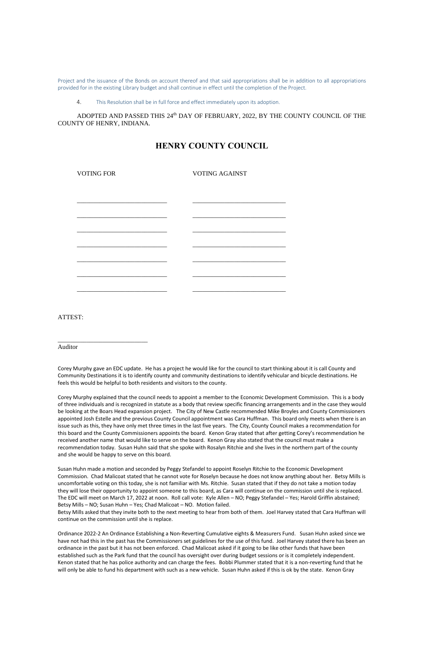Project and the issuance of the Bonds on account thereof and that said appropriations shall be in addition to all appropriations provided for in the existing Library budget and shall continue in effect until the completion of the Project.

ADOPTED AND PASSED THIS 24<sup>th</sup> DAY OF FEBRUARY, 2022, BY THE COUNTY COUNCIL OF THE COUNTY OF HENRY, INDIANA.

4. This Resolution shall be in full force and effect immediately upon its adoption.

# **HENRY COUNTY COUNCIL**

| <b>VOTING FOR</b> | <b>VOTING AGAINST</b> |
|-------------------|-----------------------|
|                   |                       |
|                   |                       |
|                   |                       |
|                   |                       |
|                   |                       |
|                   |                       |
|                   |                       |
|                   |                       |
|                   |                       |
|                   |                       |

ATTEST:

\_\_\_\_\_\_\_\_\_\_\_\_\_\_\_\_\_\_\_\_\_\_\_\_\_\_\_\_

Auditor

Corey Murphy gave an EDC update. He has a project he would like for the council to start thinking about it is call County and Community Destinations it is to identify county and community destinations to identify vehicular and bicycle destinations. He feels this would be helpful to both residents and visitors to the county.

Corey Murphy explained that the council needs to appoint a member to the Economic Development Commission. This is a body of three individuals and is recognized in statute as a body that review specific financing arrangements and in the case they would be looking at the Boars Head expansion project. The City of New Castle recommended Mike Broyles and County Commissioners appointed Josh Estelle and the previous County Council appointment was Cara Huffman. This board only meets when there is an issue such as this, they have only met three times in the last five years. The City, County Council makes a recommendation for this board and the County Commissioners appoints the board. Kenon Gray stated that after getting Corey's recommendation he received another name that would like to serve on the board. Kenon Gray also stated that the council must make a recommendation today. Susan Huhn said that she spoke with Rosalyn Ritchie and she lives in the northern part of the county and she would be happy to serve on this board.

Susan Huhn made a motion and seconded by Peggy Stefandel to appoint Roselyn Ritchie to the Economic Development Commission. Chad Malicoat stated that he cannot vote for Roselyn because he does not know anything about her. Betsy Mills is uncomfortable voting on this today, she is not familiar with Ms. Ritchie. Susan stated that if they do not take a motion today they will lose their opportunity to appoint someone to this board, as Cara will continue on the commission until she is replaced. The EDC will meet on March 17, 2022 at noon. Roll call vote: Kyle Allen – NO; Peggy Stefandel – Yes; Harold Griffin abstained; Betsy Mills – NO; Susan Huhn – Yes; Chad Malicoat – NO. Motion failed.

Betsy Mills asked that they invite both to the next meeting to hear from both of them. Joel Harvey stated that Cara Huffman will continue on the commission until she is replace.

Ordinance 2022-2 An Ordinance Establishing a Non-Reverting Cumulative eights & Measurers Fund. Susan Huhn asked since we have not had this in the past has the Commissioners set guidelines for the use of this fund. Joel Harvey stated there has been an ordinance in the past but it has not been enforced. Chad Malicoat asked if it going to be like other funds that have been established such as the Park fund that the council has oversight over during budget sessions or is it completely independent. Kenon stated that he has police authority and can charge the fees. Bobbi Plummer stated that it is a non-reverting fund that he will only be able to fund his department with such as a new vehicle. Susan Huhn asked if this is ok by the state. Kenon Gray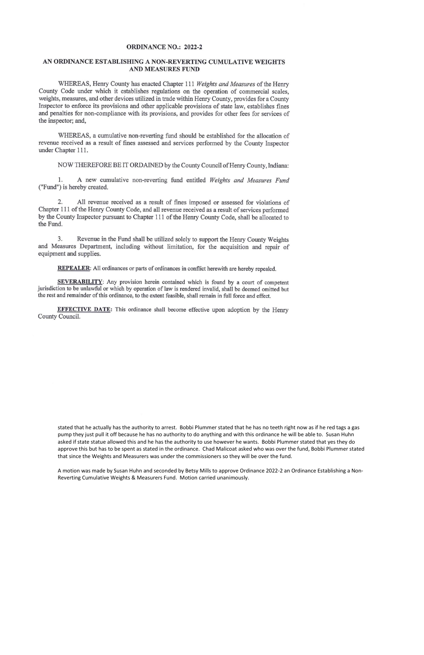#### **ORDINANCE NO.: 2022-2**

# AN ORDINANCE ESTABLISHING A NON-REVERTING CUMULATIVE WEIGHTS **AND MEASURES FUND**

WHEREAS, Henry County has enacted Chapter 111 Weights and Measures of the Henry County Code under which it establishes regulations on the operation of commercial scales, weights, measures, and other devices utilized in trade within Henry County, provides for a County Inspector to enforce its provisions and other applicable provisions of state law, establishes fines and penalties for non-compliance with its provisions, and provides for other fees for services of the inspector; and,

WHEREAS, a cumulative non-reverting fund should be established for the allocation of revenue received as a result of fines assessed and services performed by the County Inspector under Chapter 111.

NOW THEREFORE BE IT ORDAINED by the County Council of Henry County, Indiana:

1. A new cumulative non-reverting fund entitled Weights and Measures Fund ("Fund") is hereby created.

2. All revenue received as a result of fines imposed or assessed for violations of Chapter 111 of the Henry County Code, and all revenue received as a result of services performed by the County Inspector pursuant to Chapter 111 of the Henry County Code, shall be allocated to the Fund.

Revenue in the Fund shall be utilized solely to support the Henry County Weights  $3.$ and Measures Department, including without limitation, for the acquisition and repair of equipment and supplies.

**REPEALER:** All ordinances or parts of ordinances in conflict herewith are hereby repealed.

SEVERABILITY: Any provision herein contained which is found by a court of competent jurisdiction to be unlawful or which by operation of law is rendered invalid, shall be deemed omitted but the rest and remainder of this ordinance, to the extent feasible, shall remain in full force and effect.

EFFECTIVE DATE: This ordinance shall become effective upon adoption by the Henry County Council.

stated that he actually has the authority to arrest. Bobbi Plummer stated that he has no teeth right now as if he red tags a gas pump they just pull it off because he has no authority to do anything and with this ordinance he will be able to. Susan Huhn asked if state statue allowed this and he has the authority to use however he wants. Bobbi Plummer stated that yes they do approve this but has to be spent as stated in the ordinance. Chad Malicoat asked who was over the fund, Bobbi Plummer stated that since the Weights and Measurers was under the commissioners so they will be over the fund.

A motion was made by Susan Huhn and seconded by Betsy Mills to approve Ordinance 2022-2 an Ordinance Establishing a Non-Reverting Cumulative Weights & Measurers Fund. Motion carried unanimously.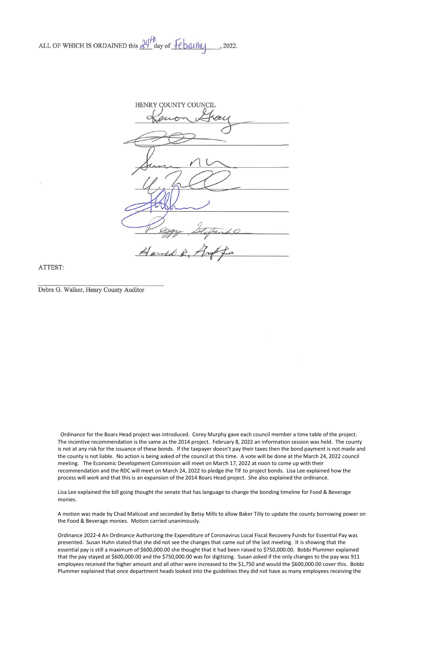ALL OF WHICH IS ORDAINED this  $\frac{\partial \psi}{\partial x}$  day of  $\overline{f}$   $\epsilon$  b  $\mu$   $\overline{\mu}$ , 2022.

HENRY COUNTY COUNCIL Harold R.

ATTEST:

Debra G. Walker, Henry County Auditor

 Ordinance for the Boars Head project was introduced. Corey Murphy gave each council member a time table of the project. The incentive recommendation is the same as the 2014 project. February 8, 2022 an information session was held. The county is not at any risk for the issuance of these bonds. If the taxpayer doesn't pay their taxes then the bond payment is not made and the county is not liable. No action is being asked of the council at this time. A vote will be done at the March 24, 2022 council meeting. The Economic Development Commission will meet on March 17, 2022 at noon to come up with their recommendation and the RDC will meet on March 24, 2022 to pledge the TIF to project bonds. Lisa Lee explained how the process will work and that this is an expansion of the 2014 Boars Head project. She also explained the ordinance.

Lisa Lee explained the bill going thought the senate that has language to change the bonding timeline for Food & Beverage monies.

A motion was made by Chad Malicoat and seconded by Betsy Mills to allow Baker Tilly to update the county borrowing power on the Food & Beverage monies. Motion carried unanimously.

Ordinance 2022-4 An Ordinance Authorizing the Expenditure of Coronavirus Local Fiscal Recovery Funds for Essential Pay was presented. Susan Huhn stated that she did not see the changes that came out of the last meeting. It is showing that the essential pay is still a maximum of \$600,000.00 she thought that it had been raised to \$750,000.00. Bobbi Plummer explained that the pay stayed at \$600,000.00 and the \$750,000.00 was for digitizing. Susan asked if the only changes to the pay was 911 employees received the higher amount and all other were increased to the \$1,750 and would the \$600,000.00 cover this. Bobbi Plummer explained that once department heads looked into the guidelines they did not have as many employees receiving the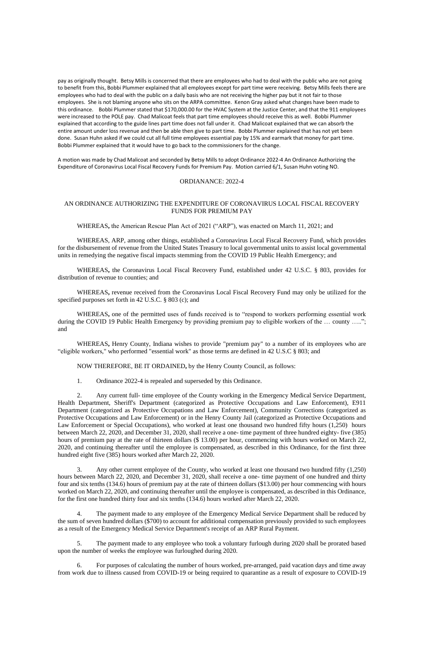pay as originally thought. Betsy Mills is concerned that there are employees who had to deal with the public who are not going to benefit from this, Bobbi Plummer explained that all employees except for part time were receiving. Betsy Mills feels there are employees who had to deal with the public on a daily basis who are not receiving the higher pay but it not fair to those employees. She is not blaming anyone who sits on the ARPA committee. Kenon Gray asked what changes have been made to this ordinance. Bobbi Plummer stated that \$170,000.00 for the HVAC System at the Justice Center, and that the 911 employees were increased to the POLE pay. Chad Malicoat feels that part time employees should receive this as well. Bobbi Plummer explained that according to the guide lines part time does not fall under it. Chad Malicoat explained that we can absorb the entire amount under loss revenue and then be able then give to part time. Bobbi Plummer explained that has not yet been done. Susan Huhn asked if we could cut all full time employees essential pay by 15% and earmark that money for part time. Bobbi Plummer explained that it would have to go back to the commissioners for the change.

A motion was made by Chad Malicoat and seconded by Betsy Mills to adopt Ordinance 2022-4 An Ordinance Authorizing the Expenditure of Coronavirus Local Fiscal Recovery Funds for Premium Pay. Motion carried 6/1, Susan Huhn voting NO.

## ORDIANANCE: 2022-4

# AN ORDINANCE AUTHORIZING THE EXPENDITURE OF CORONAVIRUS LOCAL FISCAL RECOVERY FUNDS FOR PREMIUM PAY

WHEREAS**,** the American Rescue Plan Act of 2021 ("ARP"), was enacted on March 11, 2021; and

WHEREAS, ARP, among other things, established a Coronavirus Local Fiscal Recovery Fund, which provides for the disbursement of revenue from the United States Treasury to local governmental units to assist local governmental units in remedying the negative fiscal impacts stemming from the COVID 19 Public Health Emergency; and

WHEREAS**,** the Coronavirus Local Fiscal Recovery Fund, established under 42 U.S.C. § 803, provides for distribution of revenue to counties; and

WHEREAS**,** revenue received from the Coronavirus Local Fiscal Recovery Fund may only be utilized for the specified purposes set forth in 42 U.S.C. § 803 (c); and

WHEREAS**,** one of the permitted uses of funds received is to "respond to workers performing essential work during the COVID 19 Public Health Emergency by providing premium pay to eligible workers of the ... county ....."; and

WHEREAS**,** Henry County, Indiana wishes to provide "premium pay" to a number of its employees who are "eligible workers," who performed "essential work" as those terms are defined in 42 U.S.C § 803; and

NOW THEREFORE, BE IT ORDAINED**,** by the Henry County Council, as follows:

1. Ordinance 2022-4 is repealed and superseded by this Ordinance.

2. Any current full- time employee of the County working in the Emergency Medical Service Department, Health Department, Sheriff's Department (categorized as Protective Occupations and Law Enforcement), E911 Department (categorized as Protective Occupations and Law Enforcement), Community Corrections (categorized as Protective Occupations and Law Enforcement) or in the Henry County Jail (categorized as Protective Occupations and Law Enforcement or Special Occupations), who worked at least one thousand two hundred fifty hours (1,250) hours between March 22, 2020, and December 31, 2020, shall receive a one- time payment of three hundred eighty- five (385) hours of premium pay at the rate of thirteen dollars (\$ 13.00) per hour, commencing with hours worked on March 22, 2020, and continuing thereafter until the employee is compensated, as described in this Ordinance, for the first three hundred eight five (385) hours worked after March 22, 2020.

3. Any other current employee of the County, who worked at least one thousand two hundred fifty (1,250) hours between March 22, 2020, and December 31, 2020, shall receive a one- time payment of one hundred and thirty

four and six tenths (134.6) hours of premium pay at the rate of thirteen dollars (\$13.00) per hour commencing with hours worked on March 22, 2020, and continuing thereafter until the employee is compensated, as described in this Ordinance, for the first one hundred thirty four and six tenths (134.6) hours worked after March 22, 2020.

4. The payment made to any employee of the Emergency Medical Service Department shall be reduced by the sum of seven hundred dollars (\$700) to account for additional compensation previously provided to such employees as a result of the Emergency Medical Service Department's receipt of an ARP Rural Payment.

5. The payment made to any employee who took a voluntary furlough during 2020 shall be prorated based upon the number of weeks the employee was furloughed during 2020.

6. For purposes of calculating the number of hours worked, pre-arranged, paid vacation days and time away from work due to illness caused from COVID-19 or being required to quarantine as a result of exposure to COVID-19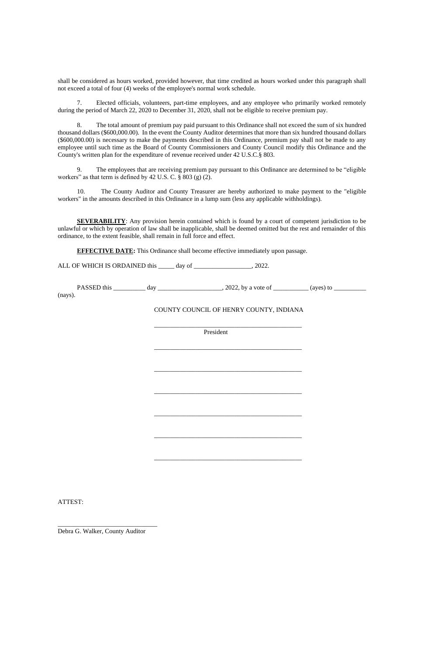shall be considered as hours worked, provided however, that time credited as hours worked under this paragraph shall not exceed a total of four (4) weeks of the employee's normal work schedule.

7. Elected officials, volunteers, part-time employees, and any employee who primarily worked remotely during the period of March 22, 2020 to December 31, 2020, shall not be eligible to receive premium pay.

9. The employees that are receiving premium pay pursuant to this Ordinance are determined to be "eligible workers" as that term is defined by 42 U.S. C.  $\S$  803 (g) (2).

8. The total amount of premium pay paid pursuant to this Ordinance shall not exceed the sum of six hundred thousand dollars (\$600,000.00). In the event the County Auditor determines that more than six hundred thousand dollars (\$600,000.00) is necessary to make the payments described in this Ordinance, premium pay shall not be made to any employee until such time as the Board of County Commissioners and County Council modify this Ordinance and the County's written plan for the expenditure of revenue received under 42 U.S.C.§ 803.

**SEVERABILITY:** Any provision herein contained which is found by a court of competent jurisdiction to be unlawful or which by operation of law shall be inapplicable, shall be deemed omitted but the rest and remainder of this ordinance, to the extent feasible, shall remain in full force and effect.

**EFFECTIVE DATE:** This Ordinance shall become effective immediately upon passage.

ALL OF WHICH IS ORDAINED this \_\_\_\_\_ day of \_\_\_\_\_\_\_\_\_\_\_\_\_\_\_\_\_\_, 2022.

10. The County Auditor and County Treasurer are hereby authorized to make payment to the "eligible workers" in the amounts described in this Ordinance in a lump sum (less any applicable withholdings).

PASSED this \_\_\_\_\_\_\_\_\_\_ day \_\_\_\_\_\_\_\_\_\_\_\_\_\_\_\_\_\_\_\_, 2022, by a vote of \_\_\_\_\_\_\_\_\_\_\_ (ayes) to \_\_\_\_\_\_\_\_\_\_

(nays).

COUNTY COUNCIL OF HENRY COUNTY, INDIANA

\_\_\_\_\_\_\_\_\_\_\_\_\_\_\_\_\_\_\_\_\_\_\_\_\_\_\_\_\_\_\_\_\_\_\_\_\_\_\_\_\_\_\_\_\_\_

President

\_\_\_\_\_\_\_\_\_\_\_\_\_\_\_\_\_\_\_\_\_\_\_\_\_\_\_\_\_\_\_\_\_\_\_\_\_\_\_\_\_\_\_\_\_\_

\_\_\_\_\_\_\_\_\_\_\_\_\_\_\_\_\_\_\_\_\_\_\_\_\_\_\_\_\_\_\_\_\_\_\_\_\_\_\_\_\_\_\_\_\_\_

\_\_\_\_\_\_\_\_\_\_\_\_\_\_\_\_\_\_\_\_\_\_\_\_\_\_\_\_\_\_\_\_\_\_\_\_\_\_\_\_\_\_\_\_\_\_

\_\_\_\_\_\_\_\_\_\_\_\_\_\_\_\_\_\_\_\_\_\_\_\_\_\_\_\_\_\_\_\_\_\_\_\_\_\_\_\_\_\_\_\_\_\_

\_\_\_\_\_\_\_\_\_\_\_\_\_\_\_\_\_\_\_\_\_\_\_\_\_\_\_\_\_\_\_\_\_\_\_\_\_\_\_\_\_\_\_\_\_\_

\_\_\_\_\_\_\_\_\_\_\_\_\_\_\_\_\_\_\_\_\_\_\_\_\_\_\_\_\_\_\_\_\_\_\_\_\_\_\_\_\_\_\_\_\_\_

ATTEST:

\_\_\_\_\_\_\_\_\_\_\_\_\_\_\_\_\_\_\_\_\_\_\_\_\_\_\_\_\_\_\_

Debra G. Walker, County Auditor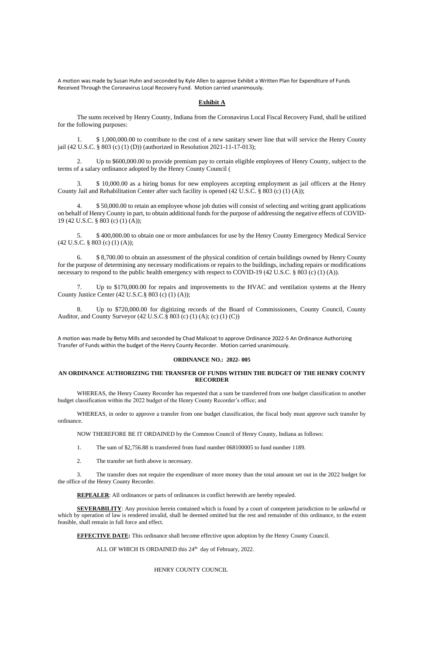A motion was made by Susan Huhn and seconded by Kyle Allen to approve Exhibit a Written Plan for Expenditure of Funds Received Through the Coronavirus Local Recovery Fund. Motion carried unanimously.

### **Exhibit A**

The sums received by Henry County, Indiana from the Coronavirus Local Fiscal Recovery Fund, shall be utilized for the following purposes:

1. \$ 1,000,000.00 to contribute to the cost of a new sanitary sewer line that will service the Henry County jail (42 U.S.C. § 803 (c) (1) (D)) (authorized in Resolution 2021-11-17-013);

2. Up to \$600,000.00 to provide premium pay to certain eligible employees of Henry County, subject to the terms of a salary ordinance adopted by the Henry County Council (

6. \$ 8,700.00 to obtain an assessment of the physical condition of certain buildings owned by Henry County for the purpose of determining any necessary modifications or repairs to the buildings, including repairs or modifications necessary to respond to the public health emergency with respect to COVID-19 (42 U.S.C. § 803 (c) (1) (A)).

3. \$ 10,000.00 as a hiring bonus for new employees accepting employment as jail officers at the Henry County Jail and Rehabilitation Center after such facility is opened (42 U.S.C. § 803 (c) (1) (A));

4. \$ 50,000.00 to retain an employee whose job duties will consist of selecting and writing grant applications on behalf of Henry County in part, to obtain additional funds for the purpose of addressing the negative effects of COVID-19 (42 U.S.C. § 803 (c) (1) (A));

5. \$ 400,000.00 to obtain one or more ambulances for use by the Henry County Emergency Medical Service (42 U.S.C. § 803 (c) (1) (A));

7. Up to \$170,000.00 for repairs and improvements to the HVAC and ventilation systems at the Henry County Justice Center (42 U.S.C.§ 803 (c) (1) (A));

8. Up to \$720,000.00 for digitizing records of the Board of Commissioners, County Council, County Auditor, and County Surveyor (42 U.S.C.§ 803 (c) (1) (A); (c) (1) (C))

A motion was made by Betsy Mills and seconded by Chad Malicoat to approve Ordinance 2022-5 An Ordinance Authorizing Transfer of Funds within the budget of the Henry County Recorder. Motion carried unanimously.

#### **ORDINANCE NO.: 2022- 005**

## **AN ORDINANCE AUTHORIZING THE TRANSFER OF FUNDS WITHIN THE BUDGET OF THE HENRY COUNTY RECORDER**

WHEREAS, the Henry County Recorder has requested that a sum be transferred from one budget classification to another budget classification within the 2022 budget of the Henry County Recorder's office; and

WHEREAS, in order to approve a transfer from one budget classification, the fiscal body must approve such transfer by ordinance.

NOW THEREFORE BE IT ORDAINED by the Common Council of Henry County, Indiana as follows:

1. The sum of \$2,756.88 is transferred from fund number 068100005 to fund number 1189.

2. The transfer set forth above is necessary.

3. The transfer does not require the expenditure of more money than the total amount set out in the 2022 budget for

the office of the Henry County Recorder.

**REPEALER**: All ordinances or parts of ordinances in conflict herewith are hereby repealed.

**SEVERABILITY**: Any provision herein contained which is found by a court of competent jurisdiction to be unlawful or which by operation of law is rendered invalid, shall be deemed omitted but the rest and remainder of this ordinance, to the extent feasible, shall remain in full force and effect.

**EFFECTIVE DATE:** This ordinance shall become effective upon adoption by the Henry County Council.

ALL OF WHICH IS ORDAINED this  $24<sup>th</sup>$  day of February, 2022.

HENRY COUNTY COUNCIL